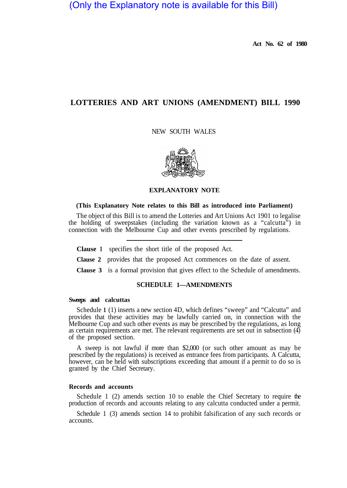(Only the Explanatory note is available for this Bill)

**Act No. 62 of 1980** 

# **LOTTERIES AND ART UNIONS (AMENDMENT) BILL 1990**

NEW SOUTH WALES



## **EXPLANATORY NOTE**

## **(This Explanatory Note relates to this Bill as introduced into Parliament)**

The object of this Bill is to amend the Lotteries and Art Unions Act 1901 to legalise the holding of sweepstakes (including the variation known as a "calcutta") in connection with the Melbourne Cup and other events prescribed by regulations.

**Clause 1** specifies the short title of the proposed Act.

**Clause 2** provides that the proposed Act commences on the date of assent.

**Clause 3** is a formal provision that gives effect to the Schedule of amendments.

# **SCHEDULE 1—AMENDMENTS**

### **Sweeps and calcuttas**

Schedule **1** (1) inserts a new section 4D, which defines "sweep" and "Calcutta" and provides that these activities may be lawfully carried on, in connection with the Melbourne Cup and such other events as may be prescribed by the regulations, as long as certain requirements are met. The relevant requirements are set out in subsection (4) of the proposed section.

A sweep is not lawful if more than \$2,000 (or such other amount as may be prescribed by the regulations) is received as entrance fees from participants. A Calcutta, however, can be held with subscriptions exceeding that amount if a permit to do so is granted by the Chief Secretary.

### **Records and accounts**

Schedule 1 (2) amends section 10 to enable the Chief Secretary to require the production of records and accounts relating to any calcutta conducted under a permit.

Schedule 1 (3) amends section 14 to prohibit falsification of any such records or accounts.